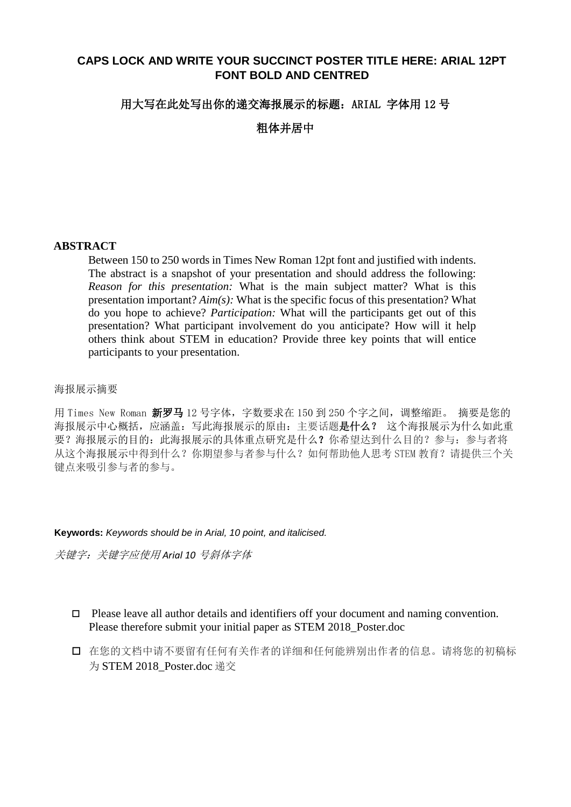# **CAPS LOCK AND WRITE YOUR SUCCINCT POSTER TITLE HERE: ARIAL 12PT FONT BOLD AND CENTRED**

### 用大写在此处写出你的递交海报展示的标题: ARIAL 字体用 12 号

粗体并居中

### **ABSTRACT**

Between 150 to 250 words in Times New Roman 12pt font and justified with indents. The abstract is a snapshot of your presentation and should address the following: *Reason for this presentation:* What is the main subject matter? What is this presentation important? *Aim(s):* What is the specific focus of this presentation? What do you hope to achieve? *Participation:* What will the participants get out of this presentation? What participant involvement do you anticipate? How will it help others think about STEM in education? Provide three key points that will entice participants to your presentation.

### 海报展示摘要

用 Times New Roman 新罗马 12 号字体, 字数要求在 150 到 250 个字之间, 调整缩距。 摘要是您的 海报展示中心概括,应涵盖:写此海报展示的原由:主要话题是什么? 这个海报展示为什么如此重 要?海报展示的目的:此海报展示的具体重点研究是什么?你希望达到什么目的?参与:参与者将 从这个海报展示中得到什么?你期望参与者参与什么?如何帮助他人思考 STEM 教育?请提供三个关 键点来吸引参与者的参与。

#### **Keywords:** *Keywords should be in Arial, 10 point, and italicised.*

关键字:关键字应使用 *Arial 10* 号斜体字体

- $\Box$  Please leave all author details and identifiers off your document and naming convention. Please therefore submit your initial paper as STEM 2018\_Poster.doc
- 在您的文档中请不要留有任何有关作者的详细和任何能辨别出作者的信息。请将您的初稿标 为 STEM 2018 Poster.doc 递交